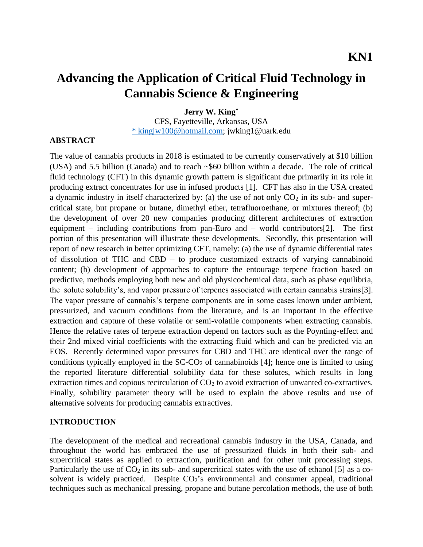# **Advancing the Application of Critical Fluid Technology in Cannabis Science & Engineering**

**Jerry W. King\***

CFS, Fayetteville, Arkansas, USA \* [kingjw100@hotmail.com;](mailto:*%20kingjw100@hotmail.com) jwking1@uark.edu

#### **ABSTRACT**

The value of cannabis products in 2018 is estimated to be currently conservatively at \$10 billion (USA) and 5.5 billion (Canada) and to reach ~\$60 billion within a decade. The role of critical fluid technology (CFT) in this dynamic growth pattern is significant due primarily in its role in producing extract concentrates for use in infused products [1]. CFT has also in the USA created a dynamic industry in itself characterized by: (a) the use of not only  $CO<sub>2</sub>$  in its sub- and supercritical state, but propane or butane, dimethyl ether, tetrafluoroethane, or mixtures thereof; (b) the development of over 20 new companies producing different architectures of extraction equipment – including contributions from pan-Euro and – world contributors[2]. The first portion of this presentation will illustrate these developments. Secondly, this presentation will report of new research in better optimizing CFT, namely: (a) the use of dynamic differential rates of dissolution of THC and CBD – to produce customized extracts of varying cannabinoid content; (b) development of approaches to capture the entourage terpene fraction based on predictive, methods employing both new and old physicochemical data, such as phase equilibria, the solute solubility's, and vapor pressure of terpenes associated with certain cannabis strains[3]. The vapor pressure of cannabis's terpene components are in some cases known under ambient, pressurized, and vacuum conditions from the literature, and is an important in the effective extraction and capture of these volatile or semi-volatile components when extracting cannabis. Hence the relative rates of terpene extraction depend on factors such as the Poynting-effect and their 2nd mixed virial coefficients with the extracting fluid which and can be predicted via an EOS. Recently determined vapor pressures for CBD and THC are identical over the range of conditions typically employed in the  $SC\text{-}CO<sub>2</sub>$  of cannabinoids [4]; hence one is limited to using the reported literature differential solubility data for these solutes, which results in long extraction times and copious recirculation of  $CO<sub>2</sub>$  to avoid extraction of unwanted co-extractives. Finally, solubility parameter theory will be used to explain the above results and use of alternative solvents for producing cannabis extractives.

#### **INTRODUCTION**

The development of the medical and recreational cannabis industry in the USA, Canada, and throughout the world has embraced the use of pressurized fluids in both their sub- and supercritical states as applied to extraction, purification and for other unit processing steps. Particularly the use of  $CO<sub>2</sub>$  in its sub- and supercritical states with the use of ethanol [5] as a cosolvent is widely practiced. Despite  $CO<sub>2</sub>$ 's environmental and consumer appeal, traditional techniques such as mechanical pressing, propane and butane percolation methods, the use of both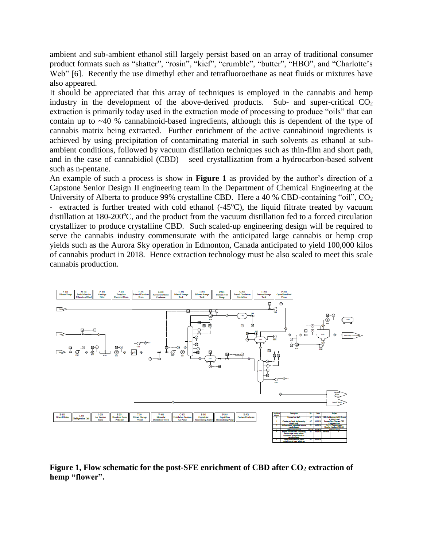ambient and sub-ambient ethanol still largely persist based on an array of traditional consumer product formats such as "shatter", "rosin", "kief", "crumble", "butter", "HBO", and "Charlotte's Web" [6]. Recently the use dimethyl ether and tetrafluoroethane as neat fluids or mixtures have also appeared.

It should be appreciated that this array of techniques is employed in the cannabis and hemp industry in the development of the above-derived products. Sub- and super-critical  $CO<sub>2</sub>$ extraction is primarily today used in the extraction mode of processing to produce "oils" that can contain up to ~40 % cannabinoid-based ingredients, although this is dependent of the type of cannabis matrix being extracted. Further enrichment of the active cannabinoid ingredients is achieved by using precipitation of contaminating material in such solvents as ethanol at subambient conditions, followed by vacuum distillation techniques such as thin-film and short path, and in the case of cannabidiol (CBD) – seed crystallization from a hydrocarbon-based solvent such as n-pentane.

An example of such a process is show in **Figure 1** as provided by the author's direction of a Capstone Senior Design II engineering team in the Department of Chemical Engineering at the University of Alberta to produce 99% crystalline CBD. Here a 40 % CBD-containing "oil", CO<sub>2</sub> - extracted is further treated with cold ethanol  $(-45^{\circ}C)$ , the liquid filtrate treated by vacuum distillation at  $180-200^{\circ}$ C, and the product from the vacuum distillation fed to a forced circulation crystallizer to produce crystalline CBD. Such scaled-up engineering design will be required to serve the cannabis industry commensurate with the anticipated large cannabis or hemp crop yields such as the Aurora Sky operation in Edmonton, Canada anticipated to yield 100,000 kilos of cannabis product in 2018. Hence extraction technology must be also scaled to meet this scale cannabis production.



**Figure 1, Flow schematic for the post-SFE enrichment of CBD after CO<sup>2</sup> extraction of hemp "flower".**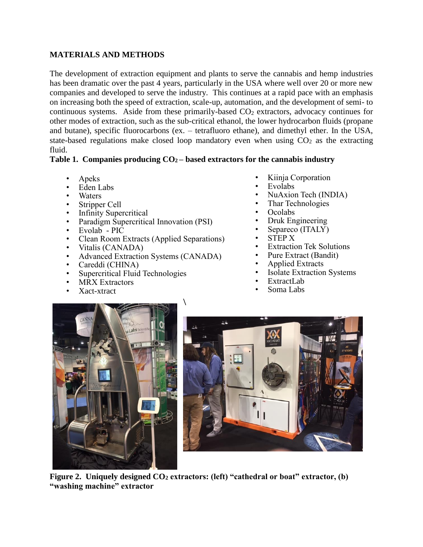## **MATERIALS AND METHODS**

The development of extraction equipment and plants to serve the cannabis and hemp industries has been dramatic over the past 4 years, particularly in the USA where well over 20 or more new companies and developed to serve the industry. This continues at a rapid pace with an emphasis on increasing both the speed of extraction, scale-up, automation, and the development of semi- to continuous systems. Aside from these primarily-based  $CO<sub>2</sub>$  extractors, advocacy continues for other modes of extraction, such as the sub-critical ethanol, the lower hydrocarbon fluids (propane and butane), specific fluorocarbons (ex. – tetrafluoro ethane), and dimethyl ether. In the USA, state-based regulations make closed loop mandatory even when using  $CO<sub>2</sub>$  as the extracting fluid.

## **Table 1. Companies producing CO2 – based extractors for the cannabis industry**

 $\lambda$ 

- Apeks
- Eden Labs
- Waters
- Stripper Cell
- Infinity Supercritical
- Paradigm Supercritical Innovation (PSI)
- Evolab PIC
- Clean Room Extracts (Applied Separations)
- Vitalis (CANADA)
- Advanced Extraction Systems (CANADA)
- Careddi (CHINA)
- Supercritical Fluid Technologies
- **MRX** Extractors
- Xact-xtract
- Kiinja Corporation
- Evolabs
- NuAxion Tech (INDIA)
- Thar Technologies
- Ocolabs
- Druk Engineering
- Separeco (ITALY)
- STEP X
- **Extraction Tek Solutions**
- Pure Extract (Bandit)
- Applied Extracts
- **Isolate Extraction Systems**
- ExtractLab
- Soma Labs





**Figure 2. Uniquely designed CO<sup>2</sup> extractors: (left) "cathedral or boat" extractor, (b) "washing machine" extractor**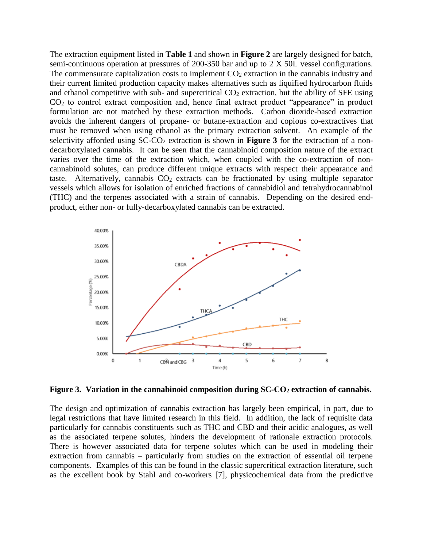The extraction equipment listed in **Table 1** and shown in **Figure 2** are largely designed for batch, semi-continuous operation at pressures of 200-350 bar and up to 2 X 50L vessel configurations. The commensurate capitalization costs to implement  $CO<sub>2</sub>$  extraction in the cannabis industry and their current limited production capacity makes alternatives such as liquified hydrocarbon fluids and ethanol competitive with sub- and supercritical  $CO<sub>2</sub>$  extraction, but the ability of SFE using CO<sup>2</sup> to control extract composition and, hence final extract product "appearance" in product formulation are not matched by these extraction methods. Carbon dioxide-based extraction avoids the inherent dangers of propane- or butane-extraction and copious co-extractives that must be removed when using ethanol as the primary extraction solvent. An example of the selectivity afforded using SC-CO<sub>2</sub> extraction is shown in **Figure 3** for the extraction of a nondecarboxylated cannabis. It can be seen that the cannabinoid composition nature of the extract varies over the time of the extraction which, when coupled with the co-extraction of noncannabinoid solutes, can produce different unique extracts with respect their appearance and taste. Alternatively, cannabis  $CO<sub>2</sub>$  extracts can be fractionated by using multiple separator vessels which allows for isolation of enriched fractions of cannabidiol and tetrahydrocannabinol (THC) and the terpenes associated with a strain of cannabis. Depending on the desired endproduct, either non- or fully-decarboxylated cannabis can be extracted.



**Figure 3. Variation in the cannabinoid composition during SC-CO<sup>2</sup> extraction of cannabis.**

The design and optimization of cannabis extraction has largely been empirical, in part, due to legal restrictions that have limited research in this field. In addition, the lack of requisite data particularly for cannabis constituents such as THC and CBD and their acidic analogues, as well as the associated terpene solutes, hinders the development of rationale extraction protocols. There is however associated data for terpene solutes which can be used in modeling their extraction from cannabis – particularly from studies on the extraction of essential oil terpene components. Examples of this can be found in the classic supercritical extraction literature, such as the excellent book by Stahl and co-workers [7], physicochemical data from the predictive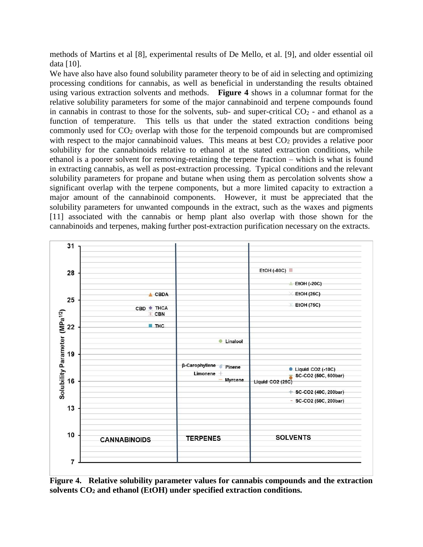methods of Martins et al [8], experimental results of De Mello, et al. [9], and older essential oil data [10].

We have also have also found solubility parameter theory to be of aid in selecting and optimizing processing conditions for cannabis, as well as beneficial in understanding the results obtained using various extraction solvents and methods. **Figure 4** shows in a columnar format for the relative solubility parameters for some of the major cannabinoid and terpene compounds found in cannabis in contrast to those for the solvents, sub- and super-critical  $CO<sub>2</sub>$  - and ethanol as a function of temperature. This tells us that under the stated extraction conditions being commonly used for  $CO<sub>2</sub>$  overlap with those for the terpenoid compounds but are compromised with respect to the major cannabinoid values. This means at best  $CO<sub>2</sub>$  provides a relative poor solubility for the cannabinoids relative to ethanol at the stated extraction conditions, while ethanol is a poorer solvent for removing-retaining the terpene fraction – which is what is found in extracting cannabis, as well as post-extraction processing. Typical conditions and the relevant solubility parameters for propane and butane when using them as percolation solvents show a significant overlap with the terpene components, but a more limited capacity to extraction a major amount of the cannabinoid components. However, it must be appreciated that the solubility parameters for unwanted compounds in the extract, such as the waxes and pigments [11] associated with the cannabis or hemp plant also overlap with those shown for the cannabinoids and terpenes, making further post-extraction purification necessary on the extracts.



**Figure 4. Relative solubility parameter values for cannabis compounds and the extraction solvents CO<sup>2</sup> and ethanol (EtOH) under specified extraction conditions.**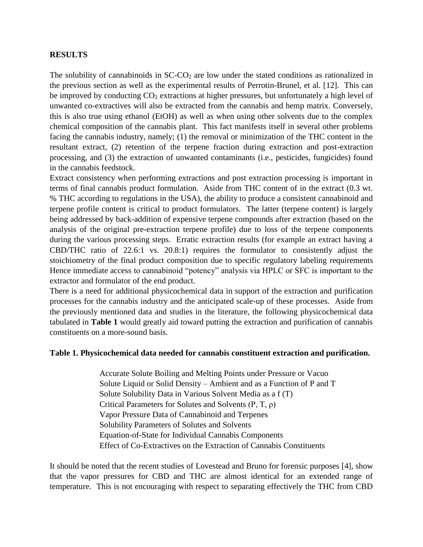## **RESULTS**

The solubility of cannabinoids in  $SC\text{-}CO<sub>2</sub>$  are low under the stated conditions as rationalized in the previous section as well as the experimental results of Perrotin-Brunel, et al. [12]. This can be improved by conducting  $CO<sub>2</sub>$  extractions at higher pressures, but unfortunately a high level of unwanted co-extractives will also be extracted from the cannabis and hemp matrix. Conversely, this is also true using ethanol (EtOH) as well as when using other solvents due to the complex chemical composition of the cannabis plant. This fact manifests itself in several other problems facing the cannabis industry, namely; (1) the removal or minimization of the THC content in the resultant extract, (2) retention of the terpene fraction during extraction and post-extraction processing, and (3) the extraction of unwanted contaminants (i.e., pesticides, fungicides) found in the cannabis feedstock.

Extract consistency when performing extractions and post extraction processing is important in terms of final cannabis product formulation. Aside from THC content of in the extract (0.3 wt. % THC according to regulations in the USA), the ability to produce a consistent cannabinoid and terpene profile content is critical to product formulators. The latter (terpene content) is largely being addressed by back-addition of expensive terpene compounds after extraction (based on the analysis of the original pre-extraction terpene profile) due to loss of the terpene components during the various processing steps. Erratic extraction results (for example an extract having a CBD/THC ratio of 22.6:1 vs. 20.8:1) requires the formulator to consistently adjust the stoichiometry of the final product composition due to specific regulatory labeling requirements Hence immediate access to cannabinoid "potency" analysis via HPLC or SFC is important to the extractor and formulator of the end product.

There is a need for additional physicochemical data in support of the extraction and purification processes for the cannabis industry and the anticipated scale-up of these processes. Aside from the previously mentioned data and studies in the literature, the following physicochemical data tabulated in **Table 1** would greatly aid toward putting the extraction and purification of cannabis constituents on a more-sound basis.

### **Table 1. Physicochemical data needed for cannabis constituent extraction and purification.**

Accurate Solute Boiling and Melting Points under Pressure or Vacuo Solute Liquid or Solid Density – Ambient and as a Function of P and T Solute Solubility Data in Various Solvent Media as a f (T) Critical Parameters for Solutes and Solvents  $(P, T, \rho)$ Vapor Pressure Data of Cannabinoid and Terpenes Solubility Parameters of Solutes and Solvents Equation-of-State for Individual Cannabis Components Effect of Co-Extractives on the Extraction of Cannabis Constituents

It should be noted that the recent studies of Lovestead and Bruno for forensic purposes [4], show that the vapor pressures for CBD and THC are almost identical for an extended range of temperature. This is not encouraging with respect to separating effectively the THC from CBD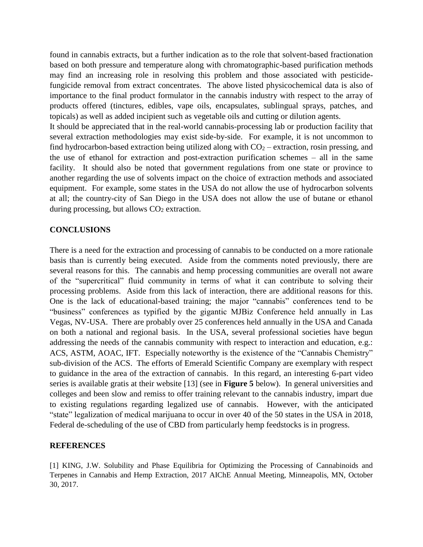found in cannabis extracts, but a further indication as to the role that solvent-based fractionation based on both pressure and temperature along with chromatographic-based purification methods may find an increasing role in resolving this problem and those associated with pesticidefungicide removal from extract concentrates. The above listed physicochemical data is also of importance to the final product formulator in the cannabis industry with respect to the array of products offered (tinctures, edibles, vape oils, encapsulates, sublingual sprays, patches, and topicals) as well as added incipient such as vegetable oils and cutting or dilution agents.

It should be appreciated that in the real-world cannabis-processing lab or production facility that several extraction methodologies may exist side-by-side. For example, it is not uncommon to find hydrocarbon-based extraction being utilized along with  $CO<sub>2</sub>$  – extraction, rosin pressing, and the use of ethanol for extraction and post-extraction purification schemes – all in the same facility. It should also be noted that government regulations from one state or province to another regarding the use of solvents impact on the choice of extraction methods and associated equipment. For example, some states in the USA do not allow the use of hydrocarbon solvents at all; the country-city of San Diego in the USA does not allow the use of butane or ethanol during processing, but allows  $CO<sub>2</sub>$  extraction.

#### **CONCLUSIONS**

There is a need for the extraction and processing of cannabis to be conducted on a more rationale basis than is currently being executed. Aside from the comments noted previously, there are several reasons for this. The cannabis and hemp processing communities are overall not aware of the "supercritical" fluid community in terms of what it can contribute to solving their processing problems. Aside from this lack of interaction, there are additional reasons for this. One is the lack of educational-based training; the major "cannabis" conferences tend to be "business" conferences as typified by the gigantic MJBiz Conference held annually in Las Vegas, NV-USA. There are probably over 25 conferences held annually in the USA and Canada on both a national and regional basis. In the USA, several professional societies have begun addressing the needs of the cannabis community with respect to interaction and education, e.g.: ACS, ASTM, AOAC, IFT. Especially noteworthy is the existence of the "Cannabis Chemistry" sub-division of the ACS. The efforts of Emerald Scientific Company are exemplary with respect to guidance in the area of the extraction of cannabis. In this regard, an interesting 6-part video series is available gratis at their website [13] (see in **Figure 5** below). In general universities and colleges and been slow and remiss to offer training relevant to the cannabis industry, impart due to existing regulations regarding legalized use of cannabis. However, with the anticipated "state" legalization of medical marijuana to occur in over 40 of the 50 states in the USA in 2018, Federal de-scheduling of the use of CBD from particularly hemp feedstocks is in progress.

#### **REFERENCES**

[1] KING, J.W. Solubility and Phase Equilibria for Optimizing the Processing of Cannabinoids and Terpenes in Cannabis and Hemp Extraction, 2017 AIChE Annual Meeting, Minneapolis, MN, October 30, 2017.